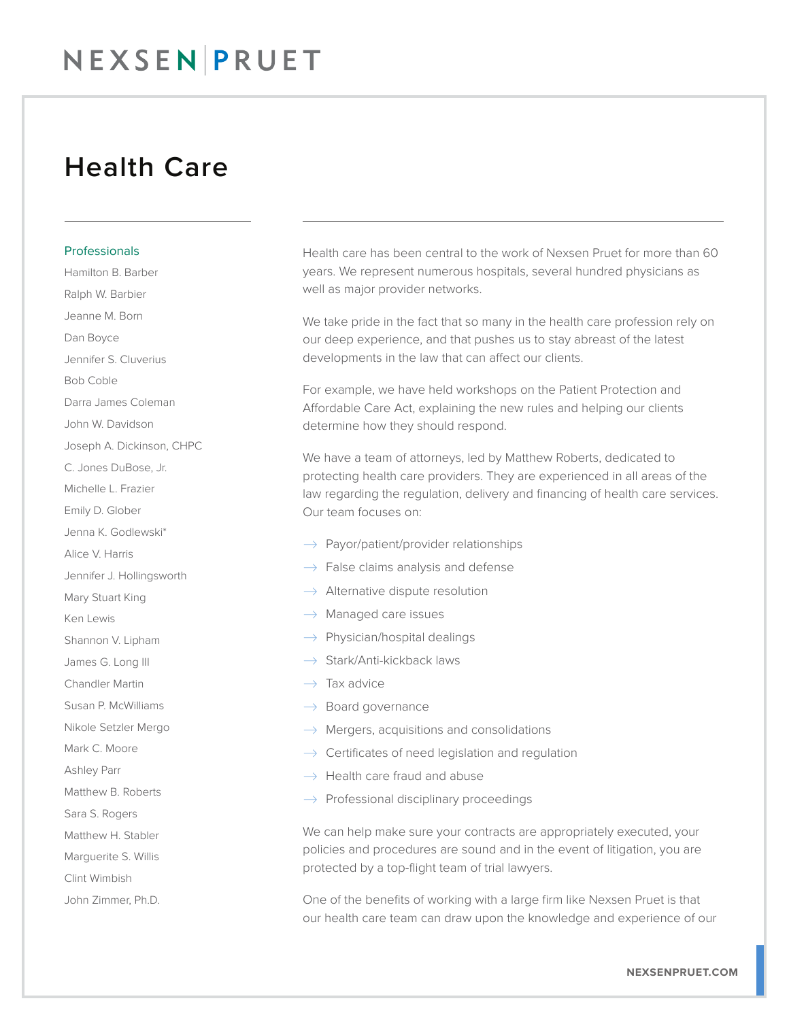#### Health Care

#### Professionals

Hamilton B. Barber Ralph W. Barbier Jeanne M. Born Dan Boyce Jennifer S. Cluverius Bob Coble Darra James Coleman John W. Davidson Joseph A. Dickinson, CHPC C. Jones DuBose, Jr. Michelle L. Frazier Emily D. Glober Jenna K. Godlewski\* Alice V. Harris Jennifer J. Hollingsworth Mary Stuart King Ken Lewis Shannon V. Lipham James G. Long III Chandler Martin Susan P. McWilliams Nikole Setzler Mergo Mark C. Moore Ashley Parr Matthew B. Roberts Sara S. Rogers Matthew H. Stabler Marguerite S. Willis Clint Wimbish John Zimmer, Ph.D.

Health care has been central to the work of Nexsen Pruet for more than 60 years. We represent numerous hospitals, several hundred physicians as well as major provider networks.

We take pride in the fact that so many in the health care profession rely on our deep experience, and that pushes us to stay abreast of the latest developments in the law that can affect our clients.

For example, we have held workshops on the Patient Protection and Affordable Care Act, explaining the new rules and helping our clients determine how they should respond.

We have a team of attorneys, led by Matthew Roberts, dedicated to protecting health care providers. They are experienced in all areas of the law regarding the regulation, delivery and financing of health care services. Our team focuses on:

- $\rightarrow$  Payor/patient/provider relationships
- $\rightarrow$  False claims analysis and defense
- $\rightarrow$  Alternative dispute resolution
- $\rightarrow$  Managed care issues
- $\rightarrow$  Physician/hospital dealings
- $\rightarrow$  Stark/Anti-kickback laws
- $\rightarrow$  Tax advice
- $\rightarrow$  Board governance
- $\rightarrow$  Mergers, acquisitions and consolidations
- $\rightarrow$  Certificates of need legislation and regulation
- $\rightarrow$  Health care fraud and abuse
- $\rightarrow$  Professional disciplinary proceedings

We can help make sure your contracts are appropriately executed, your policies and procedures are sound and in the event of litigation, you are protected by a top-flight team of trial lawyers.

One of the benefits of working with a large firm like Nexsen Pruet is that our health care team can draw upon the knowledge and experience of our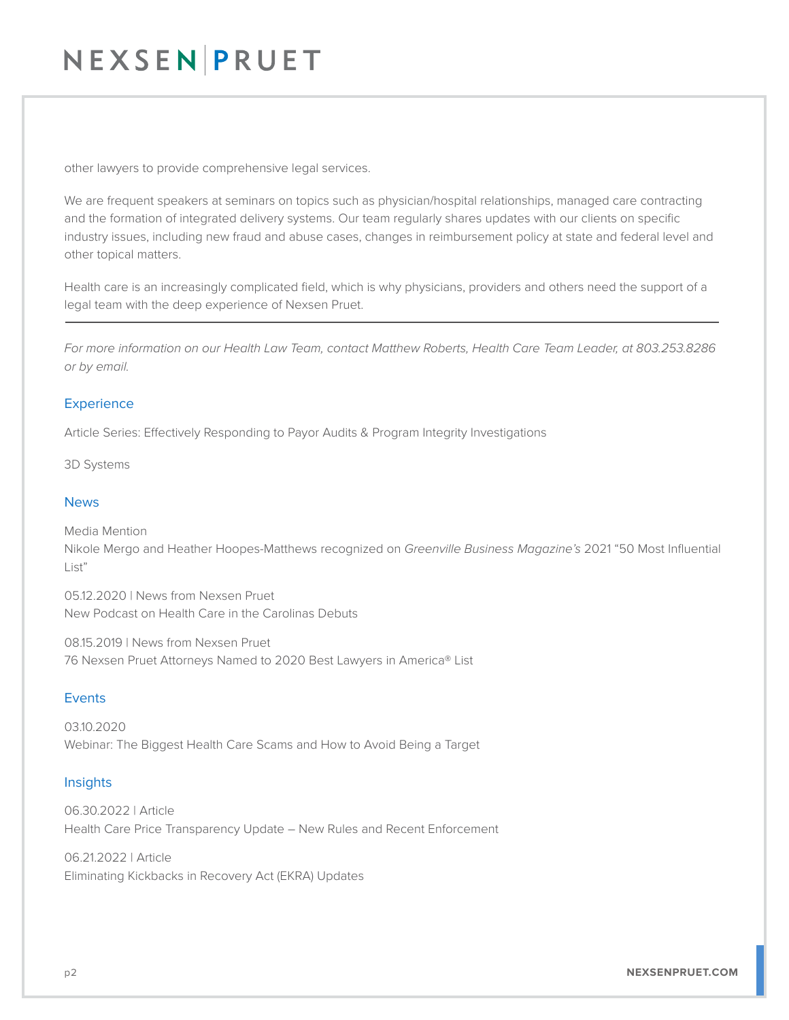other lawyers to provide comprehensive legal services.

We are frequent speakers at seminars on topics such as physician/hospital relationships, managed care contracting and the formation of integrated delivery systems. Our team regularly shares updates with our clients on specific industry issues, including new fraud and abuse cases, changes in reimbursement policy at state and federal level and other topical matters.

Health care is an increasingly complicated field, which is why physicians, providers and others need the support of a legal team with the deep experience of Nexsen Pruet.  $\overline{a}$ 

*For more information on our Health Law Team, contact Matthew Roberts, Health Care Team Leader, at 803.253.8286 or by email.* 

#### **Experience**

Article Series: Effectively Responding to Payor Audits & Program Integrity Investigations

3D Systems

#### News

Media Mention Nikole Mergo and Heather Hoopes-Matthews recognized on *Greenville Business Magazine's* 2021 "50 Most Influential List"

05.12.2020 | News from Nexsen Pruet New Podcast on Health Care in the Carolinas Debuts

08.15.2019 | News from Nexsen Pruet 76 Nexsen Pruet Attorneys Named to 2020 Best Lawyers in America® List

#### Events

03.10.2020 Webinar: The Biggest Health Care Scams and How to Avoid Being a Target

#### Insights

06.30.2022 | Article Health Care Price Transparency Update – New Rules and Recent Enforcement

06.21.2022 | Article Eliminating Kickbacks in Recovery Act (EKRA) Updates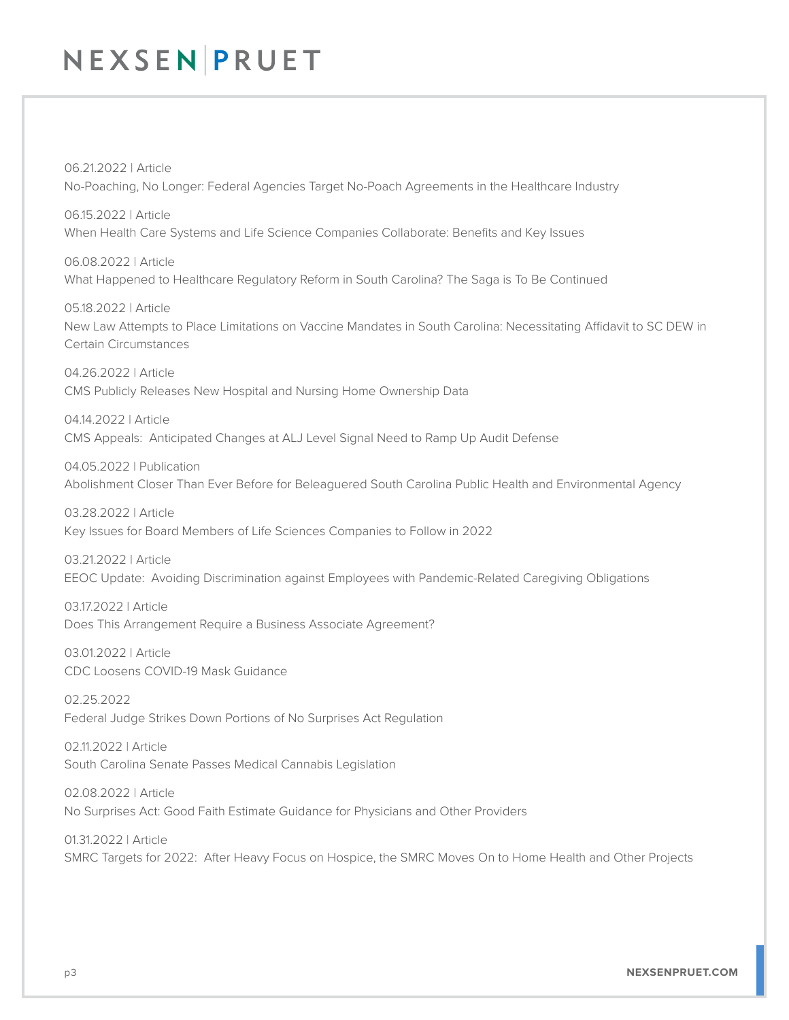06.21.2022 | Article No-Poaching, No Longer: Federal Agencies Target No-Poach Agreements in the Healthcare Industry

06.15.2022 | Article When Health Care Systems and Life Science Companies Collaborate: Benefits and Key Issues

06.08.2022 | Article What Happened to Healthcare Regulatory Reform in South Carolina? The Saga is To Be Continued

05.18.2022 | Article New Law Attempts to Place Limitations on Vaccine Mandates in South Carolina: Necessitating Affidavit to SC DEW in Certain Circumstances

04.26.2022 | Article CMS Publicly Releases New Hospital and Nursing Home Ownership Data

04.14.2022 | Article CMS Appeals: Anticipated Changes at ALJ Level Signal Need to Ramp Up Audit Defense

04.05.2022 | Publication Abolishment Closer Than Ever Before for Beleaguered South Carolina Public Health and Environmental Agency

03.28.2022 | Article Key Issues for Board Members of Life Sciences Companies to Follow in 2022

03.21.2022 | Article EEOC Update: Avoiding Discrimination against Employees with Pandemic-Related Caregiving Obligations

03.17.2022 | Article Does This Arrangement Require a Business Associate Agreement?

03.01.2022 | Article CDC Loosens COVID-19 Mask Guidance

02.25.2022 Federal Judge Strikes Down Portions of No Surprises Act Regulation

02.11.2022 | Article South Carolina Senate Passes Medical Cannabis Legislation

02.08.2022 | Article No Surprises Act: Good Faith Estimate Guidance for Physicians and Other Providers

01.31.2022 | Article SMRC Targets for 2022: After Heavy Focus on Hospice, the SMRC Moves On to Home Health and Other Projects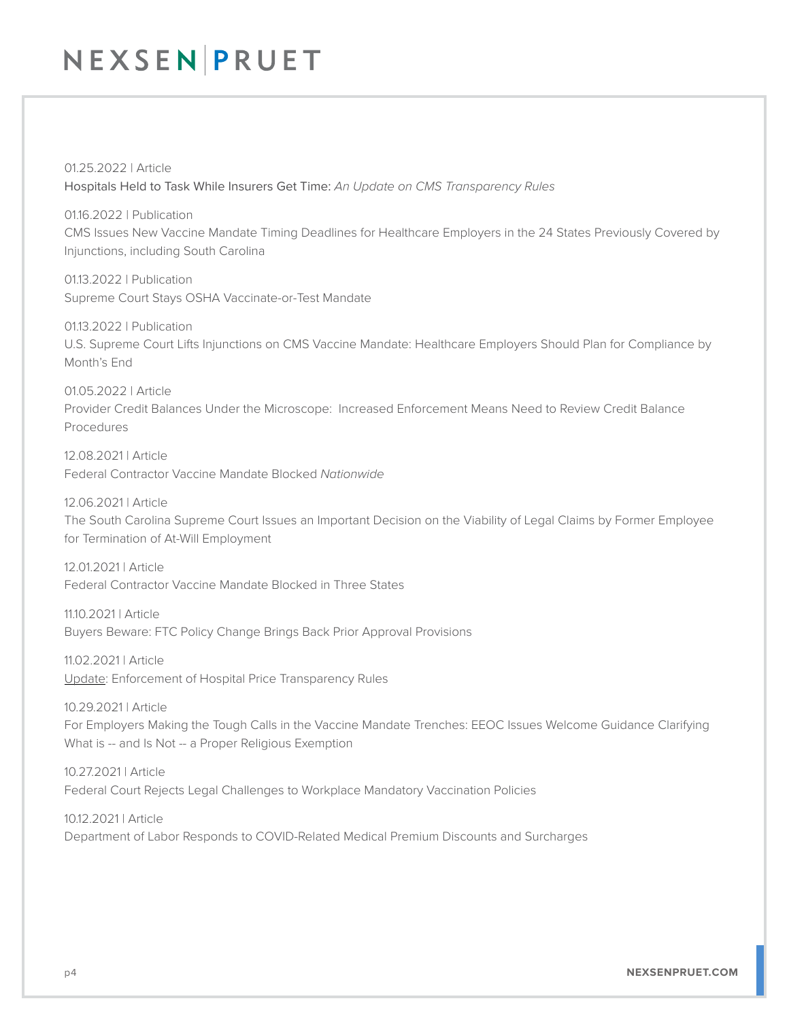01.25.2022 | Article Hospitals Held to Task While Insurers Get Time: *An Update on CMS Transparency Rules*

01.16.2022 | Publication CMS Issues New Vaccine Mandate Timing Deadlines for Healthcare Employers in the 24 States Previously Covered by Injunctions, including South Carolina

01.13.2022 | Publication Supreme Court Stays OSHA Vaccinate-or-Test Mandate

01.13.2022 | Publication U.S. Supreme Court Lifts Injunctions on CMS Vaccine Mandate: Healthcare Employers Should Plan for Compliance by Month's End

01.05.2022 | Article Provider Credit Balances Under the Microscope: Increased Enforcement Means Need to Review Credit Balance Procedures

12.08.2021 | Article Federal Contractor Vaccine Mandate Blocked *Nationwide*

12.06.2021 | Article

The South Carolina Supreme Court Issues an Important Decision on the Viability of Legal Claims by Former Employee for Termination of At-Will Employment

12.01.2021 | Article Federal Contractor Vaccine Mandate Blocked in Three States

11.10.2021 | Article Buyers Beware: FTC Policy Change Brings Back Prior Approval Provisions

11.02.2021 | Article Update: Enforcement of Hospital Price Transparency Rules

10.29.2021 | Article For Employers Making the Tough Calls in the Vaccine Mandate Trenches: EEOC Issues Welcome Guidance Clarifying What is -- and Is Not -- a Proper Religious Exemption

10.27.2021 | Article Federal Court Rejects Legal Challenges to Workplace Mandatory Vaccination Policies

10.12.2021 | Article Department of Labor Responds to COVID-Related Medical Premium Discounts and Surcharges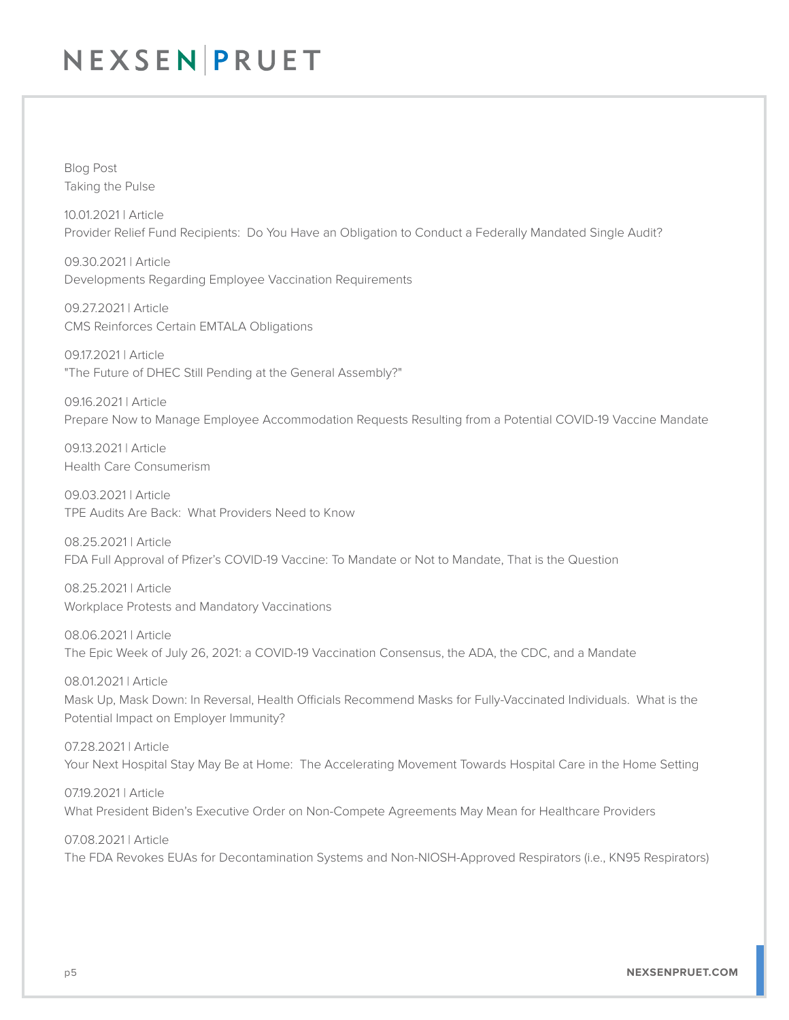Blog Post Taking the Pulse

10.01.2021 | Article Provider Relief Fund Recipients: Do You Have an Obligation to Conduct a Federally Mandated Single Audit?

09.30.2021 | Article Developments Regarding Employee Vaccination Requirements

09.27.2021 | Article CMS Reinforces Certain EMTALA Obligations

09.17.2021 | Article "The Future of DHEC Still Pending at the General Assembly?"

09.16.2021 | Article Prepare Now to Manage Employee Accommodation Requests Resulting from a Potential COVID-19 Vaccine Mandate

09.13.2021 | Article Health Care Consumerism

09.03.2021 | Article TPE Audits Are Back: What Providers Need to Know

08.25.2021 | Article FDA Full Approval of Pfizer's COVID-19 Vaccine: To Mandate or Not to Mandate, That is the Question

08.25.2021 | Article Workplace Protests and Mandatory Vaccinations

08.06.2021 | Article The Epic Week of July 26, 2021: a COVID-19 Vaccination Consensus, the ADA, the CDC, and a Mandate

08.01.2021 | Article Mask Up, Mask Down: In Reversal, Health Officials Recommend Masks for Fully-Vaccinated Individuals. What is the Potential Impact on Employer Immunity?

07.28.2021 | Article Your Next Hospital Stay May Be at Home: The Accelerating Movement Towards Hospital Care in the Home Setting

07.19.2021 | Article What President Biden's Executive Order on Non-Compete Agreements May Mean for Healthcare Providers

07.08.2021 | Article The FDA Revokes EUAs for Decontamination Systems and Non-NIOSH-Approved Respirators (i.e., KN95 Respirators)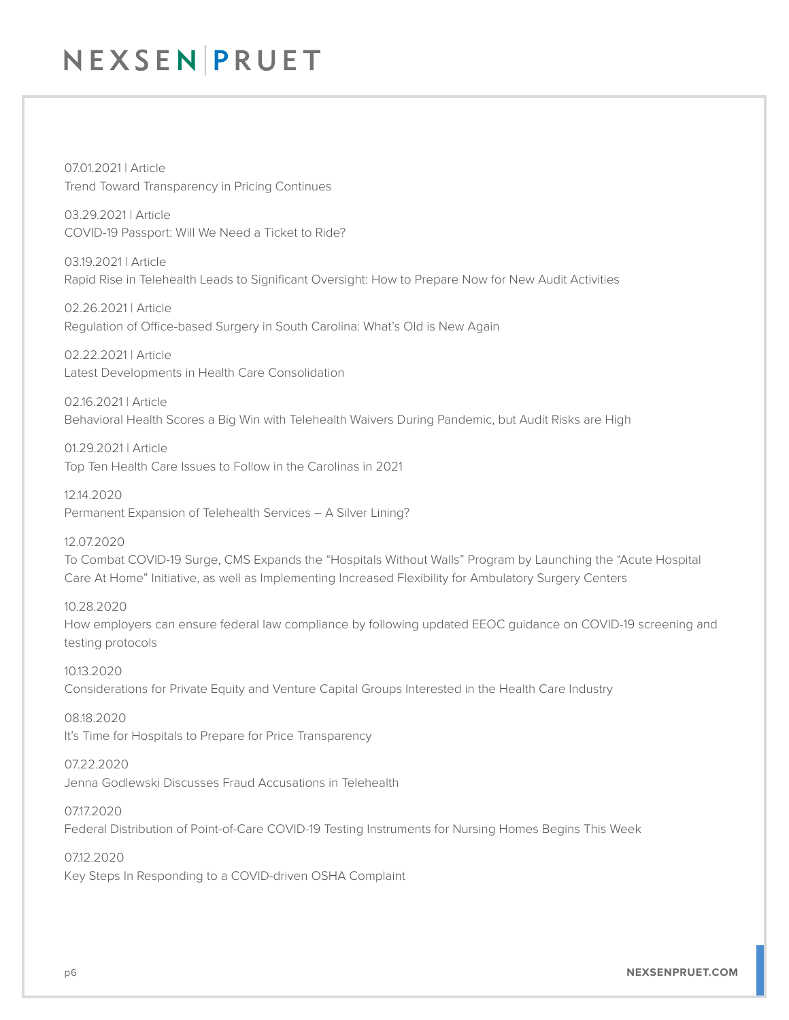07.01.2021 | Article Trend Toward Transparency in Pricing Continues

03.29.2021 | Article COVID-19 Passport: Will We Need a Ticket to Ride?

03.19.2021 | Article Rapid Rise in Telehealth Leads to Significant Oversight: How to Prepare Now for New Audit Activities

02.26.2021 | Article Regulation of Office-based Surgery in South Carolina: What's Old is New Again

02.22.2021 | Article Latest Developments in Health Care Consolidation

02.16.2021 | Article Behavioral Health Scores a Big Win with Telehealth Waivers During Pandemic, but Audit Risks are High

01.29.2021 | Article Top Ten Health Care Issues to Follow in the Carolinas in 2021

12.14.2020 Permanent Expansion of Telehealth Services – A Silver Lining?

12.07.2020

To Combat COVID-19 Surge, CMS Expands the "Hospitals Without Walls" Program by Launching the "Acute Hospital Care At Home" Initiative, as well as Implementing Increased Flexibility for Ambulatory Surgery Centers

10.28.2020 How employers can ensure federal law compliance by following updated EEOC guidance on COVID-19 screening and testing protocols

10.13.2020 Considerations for Private Equity and Venture Capital Groups Interested in the Health Care Industry

08.18.2020 It's Time for Hospitals to Prepare for Price Transparency

07.22.2020 Jenna Godlewski Discusses Fraud Accusations in Telehealth

07.17.2020 Federal Distribution of Point-of-Care COVID-19 Testing Instruments for Nursing Homes Begins This Week

07.12.2020 Key Steps In Responding to a COVID-driven OSHA Complaint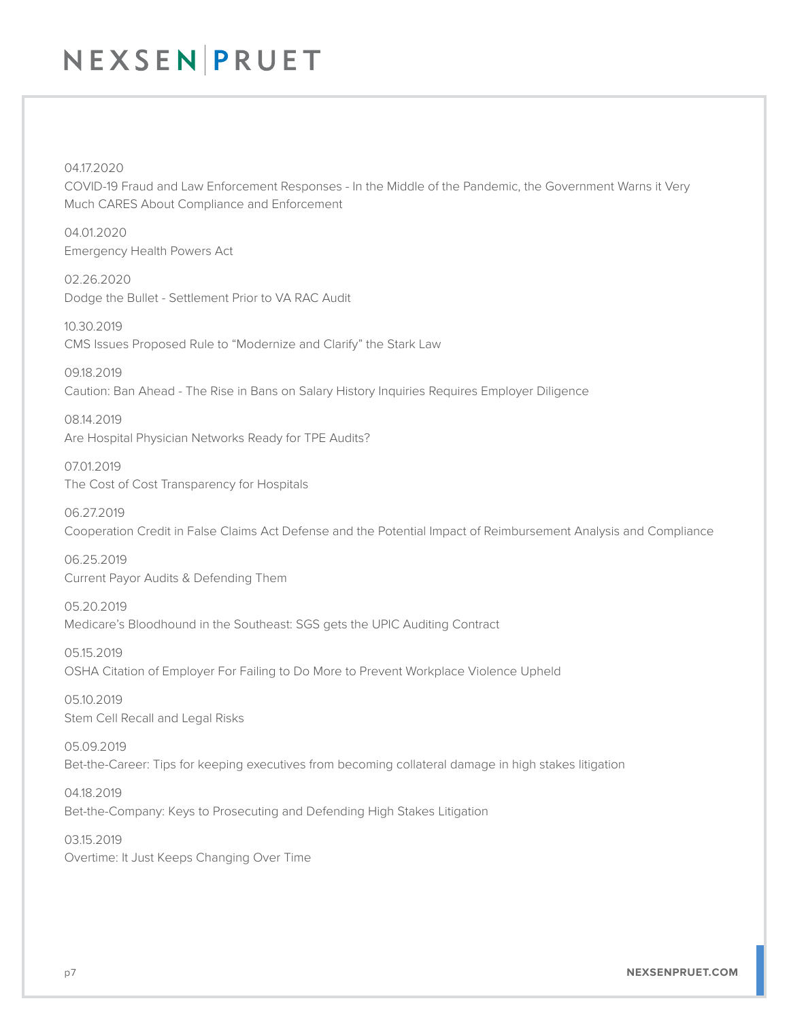#### 04.17.2020

COVID-19 Fraud and Law Enforcement Responses - In the Middle of the Pandemic, the Government Warns it Very Much CARES About Compliance and Enforcement

04.01.2020 Emergency Health Powers Act

02.26.2020 Dodge the Bullet - Settlement Prior to VA RAC Audit

10.30.2019 CMS Issues Proposed Rule to "Modernize and Clarify" the Stark Law

09.18.2019 Caution: Ban Ahead - The Rise in Bans on Salary History Inquiries Requires Employer Diligence

08.14.2019 Are Hospital Physician Networks Ready for TPE Audits?

07.01.2019 The Cost of Cost Transparency for Hospitals

06.27.2019 Cooperation Credit in False Claims Act Defense and the Potential Impact of Reimbursement Analysis and Compliance

06.25.2019 Current Payor Audits & Defending Them

05.20.2019 Medicare's Bloodhound in the Southeast: SGS gets the UPIC Auditing Contract

05.15.2019 OSHA Citation of Employer For Failing to Do More to Prevent Workplace Violence Upheld

05.10.2019 Stem Cell Recall and Legal Risks

05.09.2019 Bet-the-Career: Tips for keeping executives from becoming collateral damage in high stakes litigation

04.18.2019 Bet-the-Company: Keys to Prosecuting and Defending High Stakes Litigation

03.15.2019 Overtime: It Just Keeps Changing Over Time